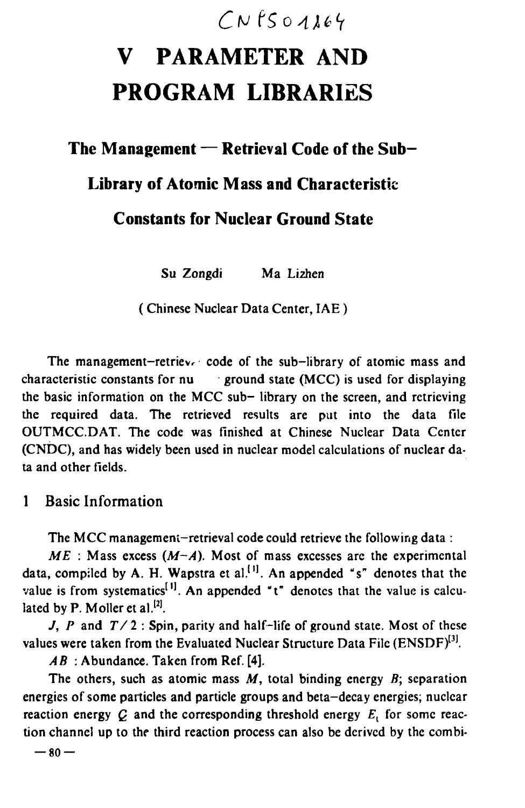# $CNfSO1164$

# V PARAMETER AND PROGRAM LIBRARIES

## The Management  $-$  Retrieval Code of the Sub-

## Library of Atomic Mass and Characteristic

## Constants for Nuclear Ground State

Su Zongdi Ma Lizhen

( Chinese Nuclear Data Center, IAE )

The management-retriev. code of the sub-library of atomic mass and characteristic constants for  $nu$  . ground state (MCC) is used for displaying the basic information on the MCC sub- library on the screen, and retrieving the required data. The retrieved results are put into the data file OUTMCC.DAT. The code was finished at Chinese Nuclear Data Center (CNDC), and has widely been used in nuclear model calculations of nuclear da· ta and other fields.

## 1 Basic Information

The MCC management-retrieval code could retrieve the following data:

 $ME$ : Mass excess  $(M-A)$ . Most of mass excesses are the experimental data, compiled by A. H. Wapstra et al.<sup>[1]</sup>. An appended "s" denotes that the value is from systematics<sup>[1]</sup>. An appended " $t$ " denotes that the value is calculated by P. Moller et al. $^{[2]}$ .

J, P and  $T/2$ : Spin, parity and half-life of ground state. Most of these values were taken from the Evaluated Nuclear Structure Data File (ENSDF)<sup>[3]</sup>.

 $AB$ : Abundance. Taken from Ref. [4].

The others, such as atomic mass *M*, total binding energy *B;* separation energies of some particles and particle groups and beta-decay energies; nuclear reaction energy  $C$  and the corresponding threshold energy  $E_i$  for some reaction channel up to the third reaction process can also be derived by the combi-

 $-80-$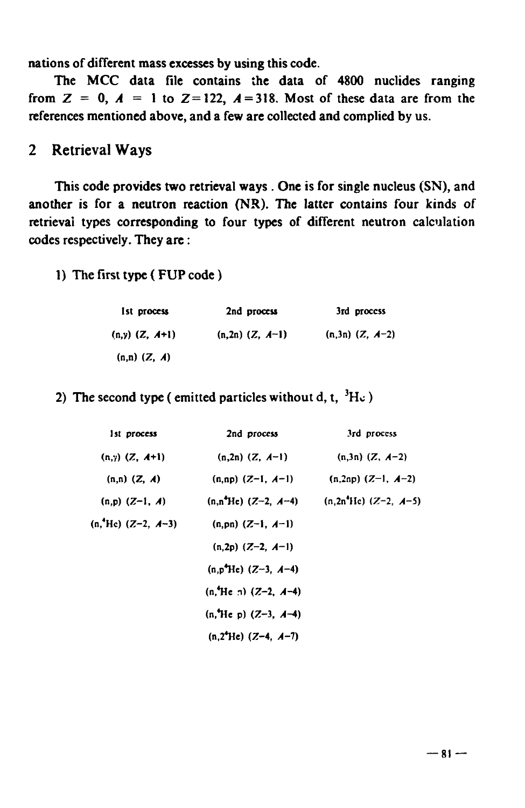nations of different mass excesses by using this code.

The MCC data file contains the data of 4800 nuclides ranging from  $Z = 0$ ,  $A = 1$  to  $Z = 122$ ,  $A = 318$ . Most of these data are from the references mentioned above, and a few are collected and complied by us.

## 2 Retrieval Ways

This code provides two retrieval ways. One is for single nucleus (SN), and another is for a neutron reaction (NR). The latter contains four kinds of retrieval types corresponding to four types of different neutron calculation codes respectively. They are :

#### 1) The first type ( FUP code)

| Ist process        | 2nd process          | 3rd process         |  |
|--------------------|----------------------|---------------------|--|
| $(n,y)$ $(Z, A+1)$ | $(n, 2n)$ $(Z, A-1)$ | $(n,3n)$ $(Z, A-2)$ |  |
| $(n,n)$ $(Z, A)$   |                      |                     |  |

#### 2) The second type ( emitted particles without d, t,  ${}^{3}$ H $\rm c$  )

| 1st process          | 2nd process              | 3rd process              |
|----------------------|--------------------------|--------------------------|
| $(n,y)$ $(Z, A+1)$   | $(n,2n)$ $(Z, A-1)$      | $(n,3n)$ $(Z, A-2)$      |
| $(n,n)$ $(Z, A)$     | $(n,np)$ $(Z-1, A-1)$    | $(n, 2np)$ $(Z-1, A-2)$  |
| $(n,p)$ $(Z-1, A)$   | $(n, n^4He)$ (Z-2, A-4)  | $(n, 2n^4He)$ (Z-2, A-5) |
| $(n, Hc)$ (Z-2, A-3) | $(n, pn)$ $(Z-1, A-1)$   |                          |
|                      | $(n, 2p)$ $(Z-2, A-1)$   |                          |
|                      | $(n, p4He)$ (Z-3, A-4)   |                          |
|                      | $(n, Hc, n)$ (Z-2, A-4)  |                          |
|                      | $(n, He p)$ (Z-3, A-4)   |                          |
|                      | $(n,2^{4}He)$ (Z-4, A-7) |                          |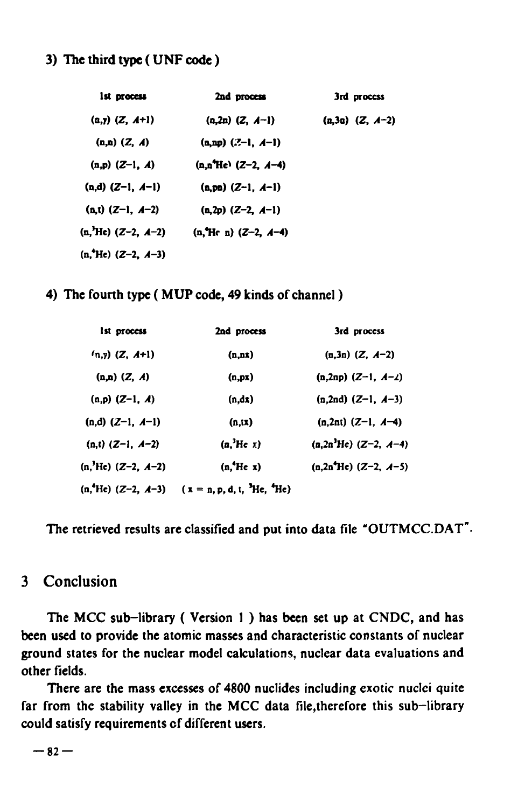#### 3) The third type ( UNF code )

| 1st process                     | 2nd process            | 3rd process         |
|---------------------------------|------------------------|---------------------|
| $(a,y)$ $(Z, A+1)$              | $(n,2n)$ $(Z, A-1)$    | $(n,3n)$ $(Z, A-2)$ |
| $(n,n)$ $(Z, A)$                | $(n, np)$ $(2-1, A-1)$ |                     |
| $(n,p)$ $(Z-1, A)$              | $(n.n^4He)$ (Z-2, A-4) |                     |
| $(n,d)$ $(Z-1, A-1)$            | $(n, pn)$ $(Z-1, A-1)$ |                     |
| $(n, t)$ $(Z-1, A-2)$           | $(n,2p)$ (Z-2, A-1)    |                     |
| (n, <sup>3</sup> He) (Z-2, A-2) | $(n, Hc n) (Z-2, A-4)$ |                     |
| $(n, Hc)$ (Z-2, A-3)            |                        |                     |

4) The fourth type ( MUP code, 49 kinds of channel)

| 1st process                     | 2nd process                            | 3rd process              |
|---------------------------------|----------------------------------------|--------------------------|
| $(n,y)$ (Z, A+1)                | (n, n)                                 | $(n,3n)$ $(Z, A-2)$      |
| $(n,n)$ $(Z, A)$                | (n, px)                                | $(n,2np)$ $(Z-1, A-2)$   |
| $(n,p)$ $(Z-1, A)$              | $(x_0, n)$                             | $(n, 2nd)$ $(Z-1, A-3)$  |
| $(n,d)$ $(Z-1, A-1)$            | (n, i x)                               | $(n, 2nt)$ $(Z-1, A-4)$  |
| $(n,t)$ $(Z-1, A-2)$            | $(n^3He \t1)$                          | $(n, 2n^3He)$ (Z-2, A-4) |
| (n, <sup>3</sup> He) (Z-2, A-2) | $(n^4He x)$                            | $(n, 2n^4He)$ (Z-2, A-5) |
| $(n, Hc)$ (Z-2, A-3)            | $(x = n, p, d, t, {}^{3}He, {}^{4}He)$ |                          |

The retrieved results are classified and put into data file "OUTMCC.DAT".

#### 3 Conclusion

The MCC sub-library ( Version 1 ) has been set up at CNDC, and has been used to provide the atomic masses and characteristic constants of nuclear ground states for the nuclear model calculations, nuclear data evaluations and other fields.

There are the mass excesses of 4800 nuclides including exotic nuclei quite far from the stability valley in the MCC data file,therefore this sub-library could satisfy requirements of different users.

 $-82-$